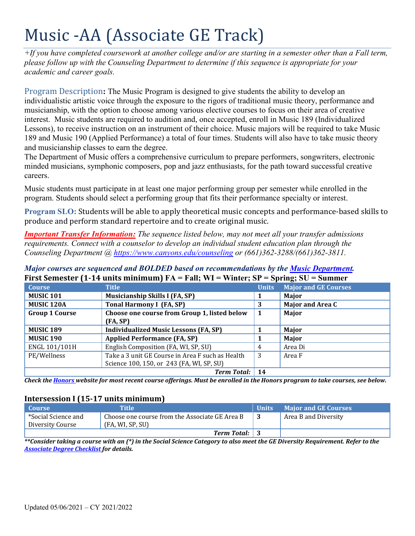# Music -AA (Associate GE Track)

*+If you have completed coursework at another college and/or are starting in a semester other than a Fall term, please follow up with the Counseling Department to determine if this sequence is appropriate for your academic and career goals.* 

 interest. Music students are required to audition and, once accepted, enroll in Music 189 (Individualized Program Description**:** The Music Program is designed to give students the ability to develop an individualistic artistic voice through the exposure to the rigors of traditional music theory, performance and musicianship, with the option to choose among various elective courses to focus on their area of creative Lessons), to receive instruction on an instrument of their choice. Music majors will be required to take Music 189 and Music 190 (Applied Performance) a total of four times. Students will also have to take music theory and musicianship classes to earn the degree.

The Department of Music offers a comprehensive curriculum to prepare performers, songwriters, electronic minded musicians, symphonic composers, pop and jazz enthusiasts, for the path toward successful creative careers.

 Music students must participate in at least one major performing group per semester while enrolled in the program. Students should select a performing group that fits their performance specialty or interest.

**Program SLO:** Students will be able to apply theoretical music concepts and performance-based skills to produce and perform standard repertoire and to create original music.

*Important Transfer Information: The sequence listed below, may not meet all your transfer admissions requirements. Connect with a counselor to develop an individual student education plan through the Counseling Department @ <https://www.canyons.edu/counseling> or (661)362-3288/(661)362-3811.* 

| Major courses are sequenced and BOLDED based on recommendations by the <b>Music Department</b> . |
|--------------------------------------------------------------------------------------------------|
| First Semester (1-14 units minimum) $FA = Fall$ ; WI = Winter; SP = Spring; SU = Summer          |

|                       | THE PURISHER THANKS INTERNATIONALLY THIS SECTION OF |              | $\omega$ <sup>2</sup>       |
|-----------------------|-----------------------------------------------------|--------------|-----------------------------|
| <b>Course</b>         | <b>Title</b>                                        | <b>Units</b> | <b>Major and GE Courses</b> |
| <b>MUSIC 101</b>      | <b>Musicianship Skills I (FA, SP)</b>               |              | Major                       |
| MUSIC <sub>120A</sub> | <b>Tonal Harmony I (FA, SP)</b>                     | 3            | <b>Major and Area C</b>     |
| <b>Group 1 Course</b> | Choose one course from Group 1, listed below        | -1           | Major                       |
|                       | (FA, SP)                                            |              |                             |
| <b>MUSIC 189</b>      | <b>Individualized Music Lessons (FA, SP)</b>        |              | Major                       |
| <b>MUSIC 190</b>      | <b>Applied Performance (FA, SP)</b>                 |              | Major                       |
| ENGL 101/101H         | English Composition (FA, WI, SP, SU)                | 4            | Area Di                     |
| PE/Wellness           | Take a 3 unit GE Course in Area F such as Health    | 3            | Area F                      |
|                       | Science 100, 150, or 243 (FA, WI, SP, SU)           |              |                             |
|                       | <b>Term Total:</b>                                  | 14           |                             |

*Check the Honors website for most recent course offerings. Must be enrolled in the Honors program to take courses, see below.* 

# **Intersession I (15-17 units minimum)**

| Course              | <b>Title</b>                                   | <b>Units</b> | <b>Major and GE Courses</b> |
|---------------------|------------------------------------------------|--------------|-----------------------------|
| *Social Science and | Choose one course from the Associate GE Area B |              | Area B and Diversity        |
| Diversity Course    | (FA, WI, SP, SU)                               |              |                             |
|                     | <b>Term Total:</b> 3                           |              |                             |

 *Associate Degree Checklist for details. \*\*Consider taking a course with an (\*) in the Social Science Category to also meet the GE Diversity Requirement. Refer to the*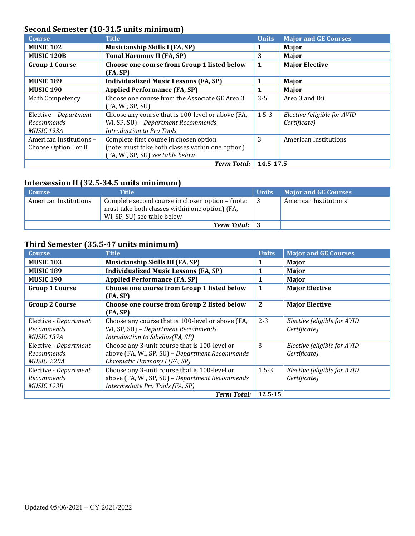# **Second Semester (18-31.5 units minimum)**

| <b>Course</b>                                     | <b>Title</b>                                                                                                                   | <b>Units</b> | <b>Major and GE Courses</b>                 |
|---------------------------------------------------|--------------------------------------------------------------------------------------------------------------------------------|--------------|---------------------------------------------|
| <b>MUSIC 102</b>                                  | <b>Musicianship Skills I (FA, SP)</b>                                                                                          |              | Major                                       |
| <b>MUSIC 120B</b>                                 | <b>Tonal Harmony II (FA, SP)</b>                                                                                               | 3            | Major                                       |
| <b>Group 1 Course</b>                             | Choose one course from Group 1 listed below<br>(FA, SP)                                                                        | 1            | <b>Major Elective</b>                       |
| <b>MUSIC 189</b>                                  | <b>Individualized Music Lessons (FA, SP)</b>                                                                                   |              | Major                                       |
| <b>MUSIC 190</b>                                  | <b>Applied Performance (FA, SP)</b>                                                                                            |              | Major                                       |
| Math Competency                                   | Choose one course from the Associate GE Area 3<br>(FA, WI, SP, SU)                                                             | $3 - 5$      | Area 3 and Dii                              |
| Elective - Department<br>Recommends<br>MUSIC 193A | Choose any course that is 100-level or above (FA,<br>WI, SP, SU) - Department Recommends<br><b>Introduction to Pro Tools</b>   | $1.5 - 3$    | Elective (eligible for AVID<br>Certificate) |
| American Institutions -<br>Choose Option I or II  | Complete first course in chosen option<br>(note: must take both classes within one option)<br>(FA, WI, SP, SU) see table below | 3            | American Institutions                       |
|                                                   | <b>Term Total:</b>                                                                                                             | 14.5-17.5    |                                             |

# **Intersession II (32.5-34.5 units minimum)**

| <b>Course</b>         | Title                                                                                                                             | <b>Units</b> | <b>Major and GE Courses</b> |
|-----------------------|-----------------------------------------------------------------------------------------------------------------------------------|--------------|-----------------------------|
| American Institutions | Complete second course in chosen option – (note:<br>must take both classes within one option) (FA,<br>WI, SP, SU) see table below | l 3          | American Institutions       |
|                       | <b>Term Total:</b>                                                                                                                |              |                             |

## **Third Semester (35.5-47 units minimum)**

| <b>Course</b>                                            | <b>Title</b>                                                                                                                       | <b>Units</b> | <b>Major and GE Courses</b>                 |
|----------------------------------------------------------|------------------------------------------------------------------------------------------------------------------------------------|--------------|---------------------------------------------|
| <b>MUSIC 103</b>                                         | <b>Musicianship Skills III (FA, SP)</b>                                                                                            | 1            | Major                                       |
| <b>MUSIC 189</b>                                         | <b>Individualized Music Lessons (FA, SP)</b>                                                                                       | 1            | Major                                       |
| <b>MUSIC 190</b>                                         | <b>Applied Performance (FA, SP)</b>                                                                                                | 1            | Major                                       |
| <b>Group 1 Course</b>                                    | Choose one course from Group 1 listed below<br>(FA, SP)                                                                            | 1            | <b>Major Elective</b>                       |
| <b>Group 2 Course</b>                                    | Choose one course from Group 2 listed below<br>(FA, SP)                                                                            | $\mathbf{2}$ | <b>Major Elective</b>                       |
| Elective - Department<br>Recommends<br>MUSIC 137A        | Choose any course that is 100-level or above (FA,<br>WI, SP, SU) - Department Recommends<br>Introduction to Sibelius(FA, SP)       | $2 - 3$      | Elective (eligible for AVID<br>Certificate) |
| Elective - Department<br>Recommends<br><b>MUSIC 220A</b> | Choose any 3-unit course that is 100-level or<br>above (FA, WI, SP, SU) - Department Recommends<br>Chromatic Harmony I (FA, SP)    | 3            | Elective (eligible for AVID<br>Certificate) |
| Elective - Department<br>Recommends<br><b>MUSIC 193B</b> | Choose any 3-unit course that is 100-level or<br>above (FA, WI, SP, SU) - Department Recommends<br>Intermediate Pro Tools (FA, SP) | $1.5 - 3$    | Elective (eligible for AVID<br>Certificate) |
|                                                          | <b>Term Total:</b>                                                                                                                 | $12.5 - 15$  |                                             |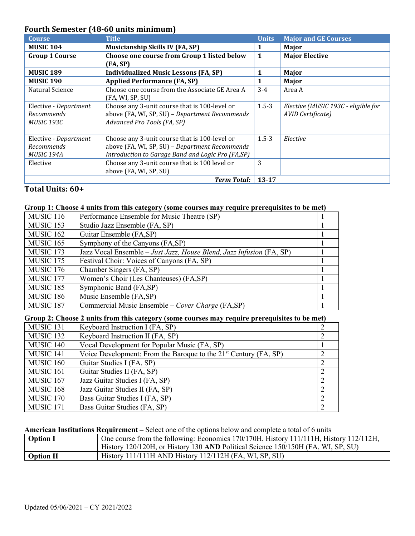# **Fourth Semester (48-60 units minimum)**

| <b>Course</b>         | <b>Title</b>                                      | <b>Units</b> | <b>Major and GE Courses</b>         |
|-----------------------|---------------------------------------------------|--------------|-------------------------------------|
| <b>MUSIC 104</b>      | <b>Musicianship Skills IV (FA, SP)</b>            |              | Major                               |
| <b>Group 1 Course</b> | Choose one course from Group 1 listed below       | 1            | <b>Major Elective</b>               |
|                       | (FA, SP)                                          |              |                                     |
| <b>MUSIC 189</b>      | <b>Individualized Music Lessons (FA, SP)</b>      | 1            | Major                               |
| <b>MUSIC 190</b>      | <b>Applied Performance (FA, SP)</b>               | 1            | Major                               |
| Natural Science       | Choose one course from the Associate GE Area A    | $3 - 4$      | Area A                              |
|                       | (FA, WI, SP, SU)                                  |              |                                     |
| Elective - Department | Choose any 3-unit course that is 100-level or     | $1.5 - 3$    | Elective (MUSIC 193C - eligible for |
| Recommends            | above (FA, WI, SP, SU) - Department Recommends    |              | AVID Certificate)                   |
| MUSIC 193C            | Advanced Pro Tools (FA, SP)                       |              |                                     |
|                       |                                                   |              |                                     |
| Elective - Department | Choose any 3-unit course that is 100-level or     | $1.5 - 3$    | Elective                            |
| Recommends            | above (FA, WI, SP, SU) - Department Recommends    |              |                                     |
| MUSIC 194A            | Introduction to Garage Band and Logic Pro (FA,SP) |              |                                     |
| Elective              | Choose any 3-unit course that is 100 level or     | 3            |                                     |
|                       | above (FA, WI, SP, SU)                            |              |                                     |
|                       | Term Total:                                       | $13 - 17$    |                                     |

# **Total Units: 60+**

### **Group 1: Choose 4 units from this category (some courses may require prerequisites to be met)**

| <b>MUSIC 116</b>     | Performance Ensemble for Music Theatre (SP)                          |  |
|----------------------|----------------------------------------------------------------------|--|
| MUSIC <sub>153</sub> | Studio Jazz Ensemble (FA, SP)                                        |  |
| MUSIC <sub>162</sub> | Guitar Ensemble (FA,SP)                                              |  |
| MUSIC <sub>165</sub> | Symphony of the Canyons (FA,SP)                                      |  |
| MUSIC <sub>173</sub> | Jazz Vocal Ensemble - Just Jazz, House Blend, Jazz Infusion (FA, SP) |  |
| MUSIC <sub>175</sub> | Festival Choir: Voices of Canyons (FA, SP)                           |  |
| MUSIC <sub>176</sub> | Chamber Singers (FA, SP)                                             |  |
| MUSIC <sub>177</sub> | Women's Choir (Les Chanteuses) (FA,SP)                               |  |
| MUSIC <sub>185</sub> | Symphonic Band (FA,SP)                                               |  |
| <b>MUSIC 186</b>     | Music Ensemble (FA,SP)                                               |  |
| MUSIC <sub>187</sub> | Commercial Music Ensemble – Cover Charge (FA,SP)                     |  |

#### Group 2: Choose 2 units from this category (some courses may require prerequisites to be met)

| MUSIC <sub>131</sub> | Keyboard Instruction I (FA, SP)                                    |  |
|----------------------|--------------------------------------------------------------------|--|
| MUSIC <sub>132</sub> | Keyboard Instruction II (FA, SP)                                   |  |
| MUSIC <sub>140</sub> | Vocal Development for Popular Music (FA, SP)                       |  |
| MUSIC <sub>141</sub> | Voice Development: From the Baroque to the $21st$ Century (FA, SP) |  |
| MUSIC <sub>160</sub> | Guitar Studies I (FA, SP)                                          |  |
| MUSIC <sub>161</sub> | Guitar Studies II (FA, SP)                                         |  |
| MUSIC <sub>167</sub> | Jazz Guitar Studies I (FA, SP)                                     |  |
| MUSIC <sub>168</sub> | Jazz Guitar Studies II (FA, SP)                                    |  |
| MUSIC <sub>170</sub> | Bass Guitar Studies I (FA, SP)                                     |  |
| MUSIC <sub>171</sub> | Bass Guitar Studies (FA, SP)                                       |  |

## **American Institutions Requirement –** Select one of the options below and complete a total of 6 units

| <b>Option I</b> | One course from the following: Economics 170/170H, History 111/111H, History 112/112H, |
|-----------------|----------------------------------------------------------------------------------------|
|                 | History 120/120H, or History 130 AND Political Science 150/150H (FA, WI, SP, SU)       |
| Option II       | History $111/111H$ AND History $112/112H$ (FA, WI, SP, SU)                             |